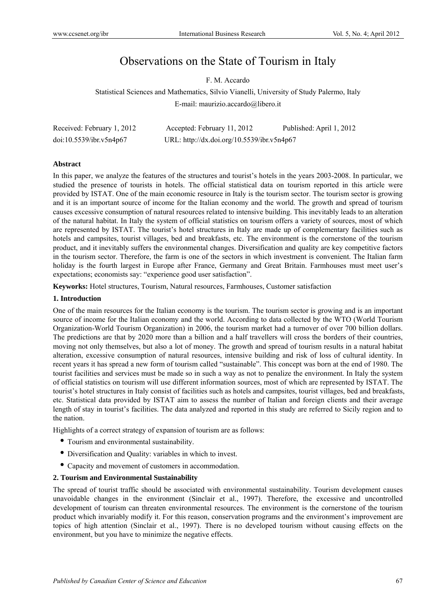# Observations on the State of Tourism in Italy

F. M. Accardo

Statistical Sciences and Mathematics, Silvio Vianelli, University of Study Palermo, Italy E-mail: maurizio.accardo@libero.it

| Received: February 1, 2012 | Accepted: February 11, 2012                | Published: April 1, 2012 |
|----------------------------|--------------------------------------------|--------------------------|
| doi:10.5539/ibr.v5n4p67    | URL: http://dx.doi.org/10.5539/ibr.v5n4p67 |                          |

### **Abstract**

In this paper, we analyze the features of the structures and tourist's hotels in the years 2003-2008. In particular, we studied the presence of tourists in hotels. The official statistical data on tourism reported in this article were provided by ISTAT. One of the main economic resource in Italy is the tourism sector. The tourism sector is growing and it is an important source of income for the Italian economy and the world. The growth and spread of tourism causes excessive consumption of natural resources related to intensive building. This inevitably leads to an alteration of the natural habitat. In Italy the system of official statistics on tourism offers a variety of sources, most of which are represented by ISTAT. The tourist's hotel structures in Italy are made up of complementary facilities such as hotels and campsites, tourist villages, bed and breakfasts, etc. The environment is the cornerstone of the tourism product, and it inevitably suffers the environmental changes. Diversification and quality are key competitive factors in the tourism sector. Therefore, the farm is one of the sectors in which investment is convenient. The Italian farm holiday is the fourth largest in Europe after France, Germany and Great Britain. Farmhouses must meet user's expectations; economists say: "experience good user satisfaction".

**Keyworks:** Hotel structures, Tourism, Natural resources, Farmhouses, Customer satisfaction

#### **1. Introduction**

One of the main resources for the Italian economy is the tourism. The tourism sector is growing and is an important source of income for the Italian economy and the world. According to data collected by the WTO (World Tourism Organization-World Tourism Organization) in 2006, the tourism market had a turnover of over 700 billion dollars. The predictions are that by 2020 more than a billion and a half travellers will cross the borders of their countries, moving not only themselves, but also a lot of money. The growth and spread of tourism results in a natural habitat alteration, excessive consumption of natural resources, intensive building and risk of loss of cultural identity. In recent years it has spread a new form of tourism called "sustainable". This concept was born at the end of 1980. The tourist facilities and services must be made so in such a way as not to penalize the environment. In Italy the system of official statistics on tourism will use different information sources, most of which are represented by ISTAT. The tourist's hotel structures in Italy consist of facilities such as hotels and campsites, tourist villages, bed and breakfasts, etc. Statistical data provided by ISTAT aim to assess the number of Italian and foreign clients and their average length of stay in tourist's facilities. The data analyzed and reported in this study are referred to Sicily region and to the nation.

Highlights of a correct strategy of expansion of tourism are as follows:

- Tourism and environmental sustainability.
- Diversification and Quality: variables in which to invest.
- Capacity and movement of customers in accommodation.

#### **2. Tourism and Environmental Sustainability**

The spread of tourist traffic should be associated with environmental sustainability. Tourism development causes unavoidable changes in the environment (Sinclair et al., 1997). Therefore, the excessive and uncontrolled development of tourism can threaten environmental resources. The environment is the cornerstone of the tourism product which invariably modify it. For this reason, conservation programs and the environment's improvement are topics of high attention (Sinclair et al., 1997). There is no developed tourism without causing effects on the environment, but you have to minimize the negative effects.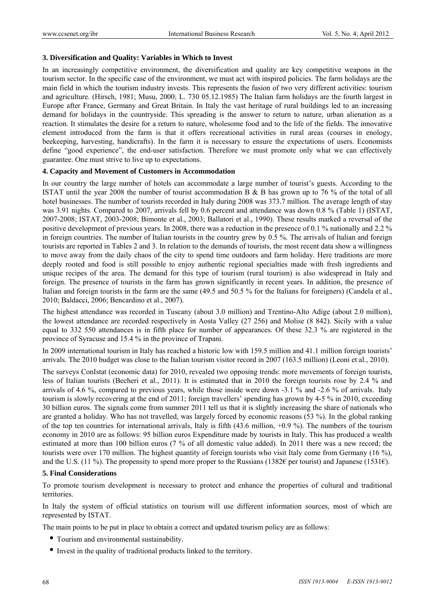## 3. Diversification and Quality: Variables in Which to Invest

In an increasingly competitive environment, the diversification and quality are key competitive weapons in the tourism sector. In the specific case of the environment, we must act with inspired policies. The farm holidays are the main field in which the tourism industry invests. This represents the fusion of two very different activities: tourism and agriculture. (Hirsch, 1981; Musu, 2000; L. 730 05.12.1985) The Italian farm holidays are the fourth largest in Europe after France, Germany and Great Britain. In Italy the vast heritage of rural buildings led to an increasing demand for holidays in the countryside. This spreading is the answer to return to nature, urban alienation as a reaction. It stimulates the desire for a return to nature, wholesome food and to the life of the fields. The innovative element introduced from the farm is that it offers recreational activities in rural areas (courses in enology, beekeeping, harvesting, handicrafts). In the farm it is necessary to ensure the expectations of users. Economists define "good experience", the end-user satisfaction. Therefore we must promote only what we can effectively guarantee. One must strive to live up to expectations.

### 4. Capacity and Movement of Customers in Accommodation

In our country the large number of hotels can accommodate a large number of tourist's guests. According to the ISTAT until the year 2008 the number of tourist accommodation B & B has grown up to 76 % of the total of all hotel businesses. The number of tourists recorded in Italy during 2008 was 373.7 million. The average length of stay was 3.91 nights. Compared to 2007, arrivals fell by 0.6 percent and attendance was down 0.8 % (Table 1) (ISTAT, 2007-2008; ISTAT, 2003-2008; Bimonte et al., 2003; Ballatori et al., 1990). These results marked a reversal of the positive development of previous years. In 2008, there was a reduction in the presence of 0.1 % nationally and 2.2 % in foreign countries. The number of Italian tourists in the country grew by  $0.5$  %. The arrivals of Italian and foreign tourists are reported in Tables 2 and 3. In relation to the demands of tourists, the most recent data show a willingness to move away from the daily chaos of the city to spend time outdoors and farm holiday. Here traditions are more deeply rooted and food is still possible to enjoy authentic regional specialties made with fresh ingredients and unique recipes of the area. The demand for this type of tourism (rural tourism) is also widespread in Italy and foreign. The presence of tourists in the farm has grown significantly in recent years. In addition, the presence of Italian and foreign tourists in the farm are the same (49.5 and 50.5 % for the Italians for foreigners) (Candela et al., 2010; Baldacci, 2006; Bencardino et al., 2007).

The highest attendance was recorded in Tuscany (about 3.0 million) and Trentino-Alto Adige (about 2.0 million), the lowest attendance are recorded respectively in Aosta Valley (27 256) and Molise (8 842). Sicily with a value equal to 332 550 attendances is in fifth place for number of appearances. Of these 32.3 % are registered in the province of Syracuse and 15.4 % in the province of Trapani.

In 2009 international tourism in Italy has reached a historic low with 159.5 million and 41.1 million foreign tourists' arrivals. The 2010 budget was close to the Italian tourism visitor record in 2007 (163.5 million) (Leoni et al., 2010).

The surveys ConIstat (economic data) for 2010, revealed two opposing trends: more movements of foreign tourists, less of Italian tourists (Becheri et al., 2011). It is estimated that in 2010 the foreign tourists rose by 2.4 % and arrivals of 4.6 %, compared to previous years, while those inside were down -3.1 % and -2.6 % of arrivals. Italy tourism is slowly recovering at the end of 2011; foreign travellers' spending has grown by 4-5 % in 2010, exceeding 30 billion euros. The signals come from summer 2011 tell us that it is slightly increasing the share of nationals who are granted a holiday. Who has not travelled, was largely forced by economic reasons (53 %). In the global ranking of the top ten countries for international arrivals, Italy is fifth  $(43.6 \text{ million}, +0.9\%)$ . The numbers of the tourism economy in 2010 are as follows: 95 billion euros Expenditure made by tourists in Italy. This has produced a wealth estimated at more than 100 billion euros (7 % of all domestic value added). In 2011 there was a new record; the tourists were over 170 million. The highest quantity of foreign tourists who visit Italy come from Germany (16 %), and the U.S. (11 %). The propensity to spend more proper to the Russians (1382 $\epsilon$  per tourist) and Japanese (1531 $\epsilon$ ).

### **5. Final Considerations**

To promote tourism development is necessary to protect and enhance the properties of cultural and traditional territories.

In Italy the system of official statistics on tourism will use different information sources, most of which are represented by ISTAT.

The main points to be put in place to obtain a correct and updated tourism policy are as follows:

- Tourism and environmental sustainability.
- Invest in the quality of traditional products linked to the territory.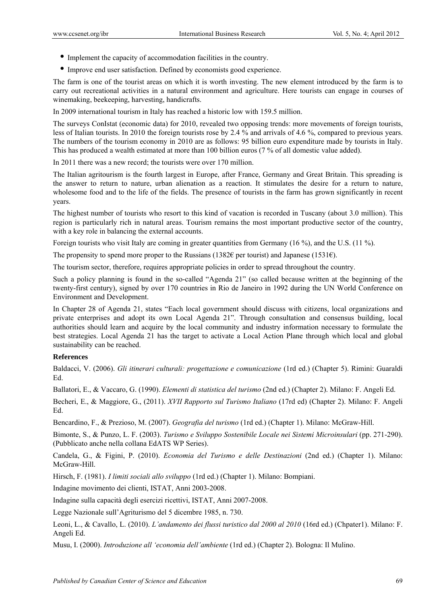- Implement the capacity of accommodation facilities in the country.
- Improve end user satisfaction. Defined by economists good experience.

The farm is one of the tourist areas on which it is worth investing. The new element introduced by the farm is to carry out recreational activities in a natural environment and agriculture. Here tourists can engage in courses of winemaking, beekeeping, harvesting, handicrafts.

In 2009 international tourism in Italy has reached a historic low with 159.5 million.

The surveys ConIstat (economic data) for 2010, revealed two opposing trends: more movements of foreign tourists, less of Italian tourists. In 2010 the foreign tourists rose by 2.4 % and arrivals of 4.6 %, compared to previous years. The numbers of the tourism economy in 2010 are as follows: 95 billion euro expenditure made by tourists in Italy. This has produced a wealth estimated at more than 100 billion euros (7 % of all domestic value added).

In 2011 there was a new record; the tourists were over 170 million.

The Italian agritourism is the fourth largest in Europe, after France, Germany and Great Britain. This spreading is the answer to return to nature, urban alienation as a reaction. It stimulates the desire for a return to nature, wholesome food and to the life of the fields. The presence of tourists in the farm has grown significantly in recent years.

The highest number of tourists who resort to this kind of vacation is recorded in Tuscany (about 3.0 million). This region is particularly rich in natural areas. Tourism remains the most important productive sector of the country, with a key role in balancing the external accounts.

Foreign tourists who visit Italy are coming in greater quantities from Germany (16 %), and the U.S. (11 %).

The propensity to spend more proper to the Russians (1382 $\epsilon$  per tourist) and Japanese (1531 $\epsilon$ ).

The tourism sector, therefore, requires appropriate policies in order to spread throughout the country.

Such a policy planning is found in the so-called "Agenda 21" (so called because written at the beginning of the twenty-first century), signed by over 170 countries in Rio de Janeiro in 1992 during the UN World Conference on Environment and Development.

In Chapter 28 of Agenda 21, states "Each local government should discuss with citizens, local organizations and private enterprises and adopt its own Local Agenda 21". Through consultation and consensus building, local authorities should learn and acquire by the local community and industry information necessary to formulate the best strategies. Local Agenda 21 has the target to activate a Local Action Plane through which local and global sustainability can be reached.

## **References**

Baldacci, V. (2006). *Gli itinerari culturali: progettazione e comunicazione* (1rd ed.) (Chapter 5). Rimini: Guaraldi Ed.

Ballatori, E., & Vaccaro, G. (1990). *Elementi di statistica del turismo* (2nd ed.) (Chapter 2). Milano: F. Angeli Ed.

Becheri, E., & Maggiore, G., (2011). *XVII Rapporto sul Turismo Italiano* (17rd ed) (Chapter 2). Milano: F. Angeli Ed.

Bencardino, F., & Prezioso, M. (2007). *Geografia del turismo* (1rd ed.) (Chapter 1). Milano: McGraw-Hill.

Bimonte, S., & Punzo, L. F. (2003). *Turismo e Sviluppo Sostenibile Locale nei Sistemi Microinsulari* (pp. 271-290). (Pubblicato anche nella collana EdATS WP Series).

Candela, G., & Figini, P. (2010). *Economia del Turismo e delle Destinazioni* (2nd ed.) (Chapter 1). Milano: McGraw-Hill.

Hirsch, F. (1981). *I limiti sociali allo sviluppo* (1rd ed.) (Chapter 1). Milano: Bompiani.

Indagine movimento dei clienti, ISTAT, Anni 2003-2008.

Indagine sulla capacità degli esercizi ricettivi, ISTAT, Anni 2007-2008.

Legge Nazionale sull'Agriturismo del 5 dicembre 1985, n. 730.

Leoni, L., & Cavallo, L. (2010). *L'andamento dei flussi turistico dal 2000 al 2010* (16rd ed.) (Chpater1). Milano: F. Angeli Ed.

Musu, I. (2000). *Introduzione all 'economia dell'ambiente* (1rd ed.) (Chapter 2). Bologna: Il Mulino.